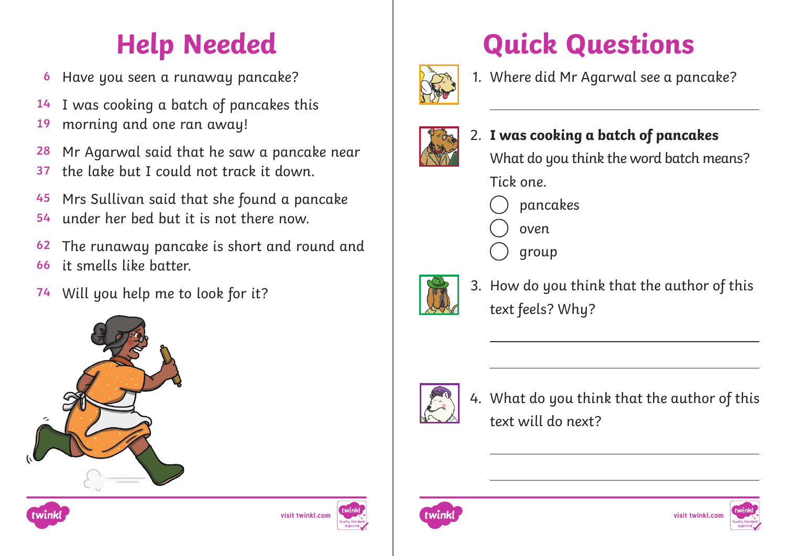## **Help Needed**

- **6** Have you seen a runaway pancake?
- **14** I was cooking a batch of pancakes this
- **19** morning and one ran away!
- **28** Mr Agarwal said that he saw a pancake near
- **37** the lake but I could not track it down.
- **45** Mrs Sullivan said that she found a pancake
- **54** under her bed but it is not there now.
- **62 66** The runaway pancake is short and round and it smells like batter.
- **74** Will you help me to look for it?







## **Quick Questions**



1. Where did Mr Agarwal see a pancake?



- 2. **I was cooking a batch of pancakes** What do you think the word batch means? Tick one.
	- pancakes
	- oven
	- group



3. How do you think that the author of this text feels? Why?



4. What do you think that the author of this text will do next?